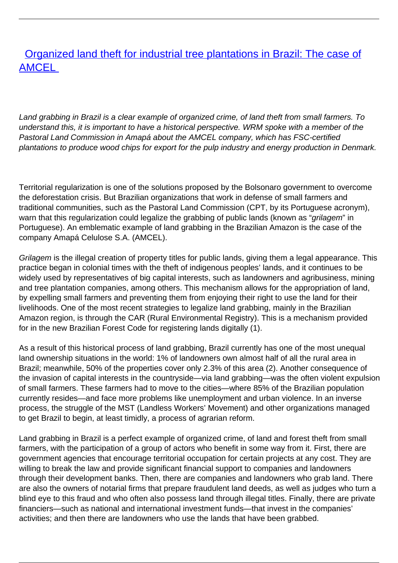# [Organized land theft for industrial tree plantations in Brazil: The case of](/bulletin-articles/organized-land-theft-for-industrial-tree-plantations-in-brazil-the-case-of-amcel) [AMCEL](/bulletin-articles/organized-land-theft-for-industrial-tree-plantations-in-brazil-the-case-of-amcel)

Land grabbing in Brazil is a clear example of organized crime, of land theft from small farmers. To understand this, it is important to have a historical perspective. WRM spoke with a member of the Pastoral Land Commission in Amapá about the AMCEL company, which has FSC-certified plantations to produce wood chips for export for the pulp industry and energy production in Denmark.

Territorial regularization is one of the solutions proposed by the Bolsonaro government to overcome the deforestation crisis. But Brazilian organizations that work in defense of small farmers and traditional communities, such as the Pastoral Land Commission (CPT, by its Portuguese acronym), warn that this regularization could legalize the grabbing of public lands (known as "grilagem" in Portuguese). An emblematic example of land grabbing in the Brazilian Amazon is the case of the company Amapá Celulose S.A. (AMCEL).

Grilagem is the illegal creation of property titles for public lands, giving them a legal appearance. This practice began in colonial times with the theft of indigenous peoples' lands, and it continues to be widely used by representatives of big capital interests, such as landowners and agribusiness, mining and tree plantation companies, among others. This mechanism allows for the appropriation of land, by expelling small farmers and preventing them from enjoying their right to use the land for their livelihoods. One of the most recent strategies to legalize land grabbing, mainly in the Brazilian Amazon region, is through the CAR (Rural Environmental Registry). This is a mechanism provided for in the new Brazilian Forest Code for registering lands digitally (1).

As a result of this historical process of land grabbing, Brazil currently has one of the most unequal land ownership situations in the world: 1% of landowners own almost half of all the rural area in Brazil; meanwhile, 50% of the properties cover only 2.3% of this area (2). Another consequence of the invasion of capital interests in the countryside—via land grabbing—was the often violent expulsion of small farmers. These farmers had to move to the cities—where 85% of the Brazilian population currently resides—and face more problems like unemployment and urban violence. In an inverse process, the struggle of the MST (Landless Workers' Movement) and other organizations managed to get Brazil to begin, at least timidly, a process of agrarian reform.

Land grabbing in Brazil is a perfect example of organized crime, of land and forest theft from small farmers, with the participation of a group of actors who benefit in some way from it. First, there are government agencies that encourage territorial occupation for certain projects at any cost. They are willing to break the law and provide significant financial support to companies and landowners through their development banks. Then, there are companies and landowners who grab land. There are also the owners of notarial firms that prepare fraudulent land deeds, as well as judges who turn a blind eye to this fraud and who often also possess land through illegal titles. Finally, there are private financiers—such as national and international investment funds—that invest in the companies' activities; and then there are landowners who use the lands that have been grabbed.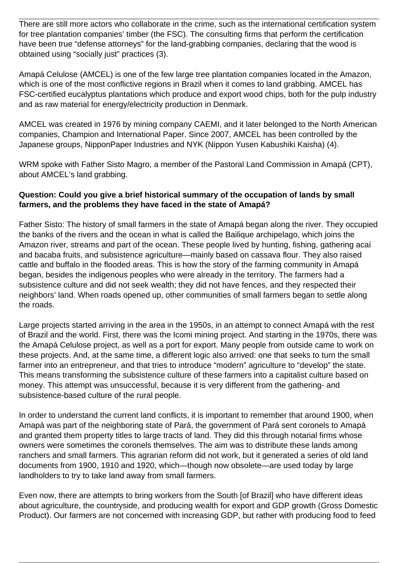There are still more actors who collaborate in the crime, such as the international certification system for tree plantation companies' timber (the FSC). The consulting firms that perform the certification have been true "defense attorneys" for the land-grabbing companies, declaring that the wood is obtained using "socially just" practices (3).

Amapá Celulose (AMCEL) is one of the few large tree plantation companies located in the Amazon, which is one of the most conflictive regions in Brazil when it comes to land grabbing. AMCEL has FSC-certified eucalyptus plantations which produce and export wood chips, both for the pulp industry and as raw material for energy/electricity production in Denmark.

AMCEL was created in 1976 by mining company CAEMI, and it later belonged to the North American companies, Champion and International Paper. Since 2007, AMCEL has been controlled by the Japanese groups, NipponPaper Industries and NYK (Nippon Yusen Kabushiki Kaisha) (4).

WRM spoke with Father Sisto Magro, a member of the Pastoral Land Commission in Amapá (CPT), about AMCEL's land grabbing.

### **Question: Could you give a brief historical summary of the occupation of lands by small farmers, and the problems they have faced in the state of Amapá?**

Father Sisto: The history of small farmers in the state of Amapá began along the river. They occupied the banks of the rivers and the ocean in what is called the Bailique archipelago, which joins the Amazon river, streams and part of the ocean. These people lived by hunting, fishing, gathering acaí and bacaba fruits, and subsistence agriculture—mainly based on cassava flour. They also raised cattle and buffalo in the flooded areas. This is how the story of the farming community in Amapá began, besides the indigenous peoples who were already in the territory. The farmers had a subsistence culture and did not seek wealth; they did not have fences, and they respected their neighbors' land. When roads opened up, other communities of small farmers began to settle along the roads.

Large projects started arriving in the area in the 1950s, in an attempt to connect Amapá with the rest of Brazil and the world. First, there was the Icomi mining project. And starting in the 1970s, there was the Amapá Celulose project, as well as a port for export. Many people from outside came to work on these projects. And, at the same time, a different logic also arrived: one that seeks to turn the small farmer into an entrepreneur, and that tries to introduce "modern" agriculture to "develop" the state. This means transforming the subsistence culture of these farmers into a capitalist culture based on money. This attempt was unsuccessful, because it is very different from the gathering- and subsistence-based culture of the rural people.

In order to understand the current land conflicts, it is important to remember that around 1900, when Amapá was part of the neighboring state of Pará, the government of Pará sent coronels to Amapá and granted them property titles to large tracts of land. They did this through notarial firms whose owners were sometimes the coronels themselves. The aim was to distribute these lands among ranchers and small farmers. This agrarian reform did not work, but it generated a series of old land documents from 1900, 1910 and 1920, which—though now obsolete—are used today by large landholders to try to take land away from small farmers.

Even now, there are attempts to bring workers from the South [of Brazil] who have different ideas about agriculture, the countryside, and producing wealth for export and GDP growth (Gross Domestic Product). Our farmers are not concerned with increasing GDP, but rather with producing food to feed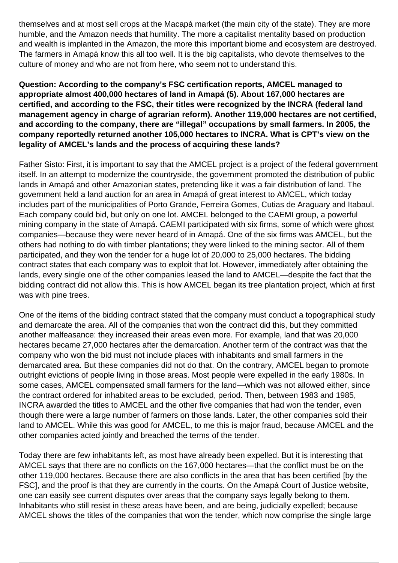themselves and at most sell crops at the Macapá market (the main city of the state). They are more humble, and the Amazon needs that humility. The more a capitalist mentality based on production and wealth is implanted in the Amazon, the more this important biome and ecosystem are destroyed. The farmers in Amapá know this all too well. It is the big capitalists, who devote themselves to the culture of money and who are not from here, who seem not to understand this.

#### **Question: According to the company's FSC certification reports, AMCEL managed to appropriate almost 400,000 hectares of land in Amapá (5). About 167,000 hectares are certified, and according to the FSC, their titles were recognized by the INCRA (federal land management agency in charge of agrarian reform). Another 119,000 hectares are not certified, and according to the company, there are "illegal" occupations by small farmers. In 2005, the company reportedly returned another 105,000 hectares to INCRA. What is CPT's view on the legality of AMCEL's lands and the process of acquiring these lands?**

Father Sisto: First, it is important to say that the AMCEL project is a project of the federal government itself. In an attempt to modernize the countryside, the government promoted the distribution of public lands in Amapá and other Amazonian states, pretending like it was a fair distribution of land. The government held a land auction for an area in Amapá of great interest to AMCEL, which today includes part of the municipalities of Porto Grande, Ferreira Gomes, Cutias de Araguary and Itabaul. Each company could bid, but only on one lot. AMCEL belonged to the CAEMI group, a powerful mining company in the state of Amapá. CAEMI participated with six firms, some of which were ghost companies—because they were never heard of in Amapá. One of the six firms was AMCEL, but the others had nothing to do with timber plantations; they were linked to the mining sector. All of them participated, and they won the tender for a huge lot of 20,000 to 25,000 hectares. The bidding contract states that each company was to exploit that lot. However, immediately after obtaining the lands, every single one of the other companies leased the land to AMCEL—despite the fact that the bidding contract did not allow this. This is how AMCEL began its tree plantation project, which at first was with pine trees.

One of the items of the bidding contract stated that the company must conduct a topographical study and demarcate the area. All of the companies that won the contract did this, but they committed another malfeasance: they increased their areas even more. For example, land that was 20,000 hectares became 27,000 hectares after the demarcation. Another term of the contract was that the company who won the bid must not include places with inhabitants and small farmers in the demarcated area. But these companies did not do that. On the contrary, AMCEL began to promote outright evictions of people living in those areas. Most people were expelled in the early 1980s. In some cases, AMCEL compensated small farmers for the land—which was not allowed either, since the contract ordered for inhabited areas to be excluded, period. Then, between 1983 and 1985, INCRA awarded the titles to AMCEL and the other five companies that had won the tender, even though there were a large number of farmers on those lands. Later, the other companies sold their land to AMCEL. While this was good for AMCEL, to me this is major fraud, because AMCEL and the other companies acted jointly and breached the terms of the tender.

Today there are few inhabitants left, as most have already been expelled. But it is interesting that AMCEL says that there are no conflicts on the 167,000 hectares—that the conflict must be on the other 119,000 hectares. Because there are also conflicts in the area that has been certified [by the FSC], and the proof is that they are currently in the courts. On the Amapá Court of Justice website, one can easily see current disputes over areas that the company says legally belong to them. Inhabitants who still resist in these areas have been, and are being, judicially expelled; because AMCEL shows the titles of the companies that won the tender, which now comprise the single large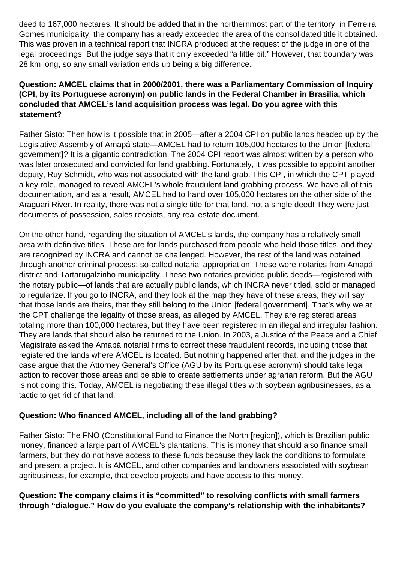deed to 167,000 hectares. It should be added that in the northernmost part of the territory, in Ferreira Gomes municipality, the company has already exceeded the area of the consolidated title it obtained. This was proven in a technical report that INCRA produced at the request of the judge in one of the legal proceedings. But the judge says that it only exceeded "a little bit." However, that boundary was 28 km long, so any small variation ends up being a big difference.

### **Question: AMCEL claims that in 2000/2001, there was a Parliamentary Commission of Inquiry (CPI, by its Portuguese acronym) on public lands in the Federal Chamber in Brasilia, which concluded that AMCEL's land acquisition process was legal. Do you agree with this statement?**

Father Sisto: Then how is it possible that in 2005—after a 2004 CPI on public lands headed up by the Legislative Assembly of Amapá state—AMCEL had to return 105,000 hectares to the Union [federal government]? It is a gigantic contradiction. The 2004 CPI report was almost written by a person who was later prosecuted and convicted for land grabbing. Fortunately, it was possible to appoint another deputy, Ruy Schmidt, who was not associated with the land grab. This CPI, in which the CPT played a key role, managed to reveal AMCEL's whole fraudulent land grabbing process. We have all of this documentation, and as a result, AMCEL had to hand over 105,000 hectares on the other side of the Araguari River. In reality, there was not a single title for that land, not a single deed! They were just documents of possession, sales receipts, any real estate document.

On the other hand, regarding the situation of AMCEL's lands, the company has a relatively small area with definitive titles. These are for lands purchased from people who held those titles, and they are recognized by INCRA and cannot be challenged. However, the rest of the land was obtained through another criminal process: so-called notarial appropriation. These were notaries from Amapá district and Tartarugalzinho municipality. These two notaries provided public deeds—registered with the notary public—of lands that are actually public lands, which INCRA never titled, sold or managed to regularize. If you go to INCRA, and they look at the map they have of these areas, they will say that those lands are theirs, that they still belong to the Union [federal government]. That's why we at the CPT challenge the legality of those areas, as alleged by AMCEL. They are registered areas totaling more than 100,000 hectares, but they have been registered in an illegal and irregular fashion. They are lands that should also be returned to the Union. In 2003, a Justice of the Peace and a Chief Magistrate asked the Amapá notarial firms to correct these fraudulent records, including those that registered the lands where AMCEL is located. But nothing happened after that, and the judges in the case argue that the Attorney General's Office (AGU by its Portuguese acronym) should take legal action to recover those areas and be able to create settlements under agrarian reform. But the AGU is not doing this. Today, AMCEL is negotiating these illegal titles with soybean agribusinesses, as a tactic to get rid of that land.

## **Question: Who financed AMCEL, including all of the land grabbing?**

Father Sisto: The FNO (Constitutional Fund to Finance the North [region]), which is Brazilian public money, financed a large part of AMCEL's plantations. This is money that should also finance small farmers, but they do not have access to these funds because they lack the conditions to formulate and present a project. It is AMCEL, and other companies and landowners associated with soybean agribusiness, for example, that develop projects and have access to this money.

**Question: The company claims it is "committed" to resolving conflicts with small farmers through "dialogue." How do you evaluate the company's relationship with the inhabitants?**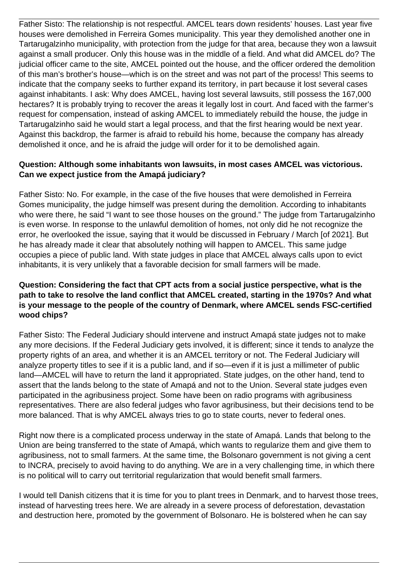Father Sisto: The relationship is not respectful. AMCEL tears down residents' houses. Last year five houses were demolished in Ferreira Gomes municipality. This year they demolished another one in Tartarugalzinho municipality, with protection from the judge for that area, because they won a lawsuit against a small producer. Only this house was in the middle of a field. And what did AMCEL do? The judicial officer came to the site, AMCEL pointed out the house, and the officer ordered the demolition of this man's brother's house—which is on the street and was not part of the process! This seems to indicate that the company seeks to further expand its territory, in part because it lost several cases against inhabitants. I ask: Why does AMCEL, having lost several lawsuits, still possess the 167,000 hectares? It is probably trying to recover the areas it legally lost in court. And faced with the farmer's request for compensation, instead of asking AMCEL to immediately rebuild the house, the judge in Tartarugalzinho said he would start a legal process, and that the first hearing would be next year. Against this backdrop, the farmer is afraid to rebuild his home, because the company has already demolished it once, and he is afraid the judge will order for it to be demolished again.

### **Question: Although some inhabitants won lawsuits, in most cases AMCEL was victorious. Can we expect justice from the Amapá judiciary?**

Father Sisto: No. For example, in the case of the five houses that were demolished in Ferreira Gomes municipality, the judge himself was present during the demolition. According to inhabitants who were there, he said "I want to see those houses on the ground." The judge from Tartarugalzinho is even worse. In response to the unlawful demolition of homes, not only did he not recognize the error, he overlooked the issue, saying that it would be discussed in February / March [of 2021]. But he has already made it clear that absolutely nothing will happen to AMCEL. This same judge occupies a piece of public land. With state judges in place that AMCEL always calls upon to evict inhabitants, it is very unlikely that a favorable decision for small farmers will be made.

### **Question: Considering the fact that CPT acts from a social justice perspective, what is the path to take to resolve the land conflict that AMCEL created, starting in the 1970s? And what is your message to the people of the country of Denmark, where AMCEL sends FSC-certified wood chips?**

Father Sisto: The Federal Judiciary should intervene and instruct Amapá state judges not to make any more decisions. If the Federal Judiciary gets involved, it is different; since it tends to analyze the property rights of an area, and whether it is an AMCEL territory or not. The Federal Judiciary will analyze property titles to see if it is a public land, and if so—even if it is just a millimeter of public land—AMCEL will have to return the land it appropriated. State judges, on the other hand, tend to assert that the lands belong to the state of Amapá and not to the Union. Several state judges even participated in the agribusiness project. Some have been on radio programs with agribusiness representatives. There are also federal judges who favor agribusiness, but their decisions tend to be more balanced. That is why AMCEL always tries to go to state courts, never to federal ones.

Right now there is a complicated process underway in the state of Amapá. Lands that belong to the Union are being transferred to the state of Amapá, which wants to regularize them and give them to agribusiness, not to small farmers. At the same time, the Bolsonaro government is not giving a cent to INCRA, precisely to avoid having to do anything. We are in a very challenging time, in which there is no political will to carry out territorial regularization that would benefit small farmers.

I would tell Danish citizens that it is time for you to plant trees in Denmark, and to harvest those trees, instead of harvesting trees here. We are already in a severe process of deforestation, devastation and destruction here, promoted by the government of Bolsonaro. He is bolstered when he can say